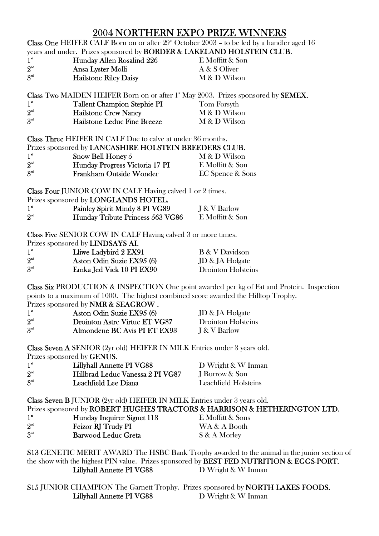$2004$  NORTHERN EXPO PRIZE WINNERS Class One HEIFER CALF Born on or after  $29^{\circ}$  October 2003 – to be led by a handler aged 16

years and under. Prizes sponsored by **BORDER & LAKELAND HOLSTEIN CLUB.**<br>1<sup>\*</sup> Hunday Allen Rosalind 226 E Moffitt & Son 1<sup>\*</sup><br> **1Hunday Allen Rosalind 226** E Moffitt & Son<br>  $2^{nd}$  A & S Oliver Ansa Lyster Molli A & S Oliver 3<sup>rd</sup> Hailstone Riley Daisy M & D Wilson

Class Two MAIDEN HEIFER Born on or after 1<sup>st</sup> May 2003. Prizes sponsored by **SEMEX.** 1<sup>\*</sup> Tallent Champion Stephie PI Tom Forsyth<br>
2<sup>nd</sup> Hailstone Crew Nancy M & D Wilso 2011 Hailstone Crew Nancy M & D Wilson

| 3 <sup>nd</sup> | Hailstone Leduc Fine Breeze | M & D Wilson |
|-----------------|-----------------------------|--------------|

Class Three HEIFER IN CALF Due to calve at under 36 months.

| Prizes sponsored by LANCASHIRE HOLSTEIN BREEDERS CLUB. |                                |                             |
|--------------------------------------------------------|--------------------------------|-----------------------------|
| $1^*$                                                  | Snow Bell Honey 5              | M & D Wilson                |
| 2 <sup>nd</sup>                                        | Hunday Progress Victoria 17 PI | E Moffitt & Son             |
| 3 <sup>rd</sup>                                        | Frankham Outside Wonder        | <b>EC Spence &amp; Sons</b> |

Class Four JUNIOR COW IN CALF Having calved 1 or 2 times.

| Prizes sponsored by <b>LONGLANDS HOTEL.</b> |                                  |                 |  |
|---------------------------------------------|----------------------------------|-----------------|--|
| $1^{\mathrm{st}}$                           | Painley Spirit Mindy 8 PI VG89   | I & V Barlow    |  |
| 2 <sup>nd</sup>                             | Hunday Tribute Princess 563 VG86 | E Moffitt & Son |  |

Class Five SENIOR COW IN CALF Having calved 3 or more times.

|                   | Prizes sponsored by <b>LINDSAYS AI.</b> |                           |
|-------------------|-----------------------------------------|---------------------------|
| $1^{\mathrm{st}}$ | Lliwe Ladybird 2 EX91                   | <b>B</b> & V Davidson     |
| 2 <sup>nd</sup>   | Aston Odin Suzie EX95 (6)               | JD & JA Holgate           |
| 3 <sup>d</sup>    | Emka Jed Vick 10 PI EX90                | <b>Drointon Holsteins</b> |

Class Six PRODUCTION & INSPECTION One point awarded per kg of Fat and Protein. Inspection points to a maximum of 1000. The highest combined score awarded the Hilltop Trophy.

Prizes sponsored by NMR & SEAGROW .

| $1^*$           | Aston Odin Suzie EX95 (6)     | JD & JA Holgate    |
|-----------------|-------------------------------|--------------------|
| 2 <sup>nd</sup> | Drointon Astre Virtue ET VG87 | Drointon Holsteins |
| 3 <sup>rd</sup> | Almondene BC Avis PI ET EX93  | I & V Barlow       |

Class Seven A SENIOR (2yr old) HEIFER IN MILK Entries under 3 years old.

Prizes sponsored by GENUS.

| $1^*$           | <b>Lillyhall Annette PI VG88</b> | D Wright $\&$ W I |
|-----------------|----------------------------------|-------------------|
| 2 <sup>nd</sup> | Hillbrad Leduc Vanessa 2 PI VG87 | J Burrow & Son    |
| 3 <sup>d</sup>  | Leachfield Lee Diana             | Leachfield Holst  |

Class Seven B JUNIOR (2yr old) HEIFER IN MILK Entries under 3 years old.

Prizes sponsored by ROBERT HUGHES TRACTORS & HARRISON & HETHERINGTON LTD.

D Wright & W Inman

Leachfield Holsteins

| $1^*$                            | Hunday Inquirer Signet 113 | E Moffitt & Sons |
|----------------------------------|----------------------------|------------------|
| $2^{\scriptscriptstyle{\rm nd}}$ | Feizor RJ Trudy PI         | WA & A Booth     |
| 3 <sup>rd</sup>                  | <b>Barwood Leduc Greta</b> | S & A Morley     |

S13 GENETIC MERIT AWARD The HSBC Bank Trophy awarded to the animal in the junior section of the show with the highest PIN value. Prizes sponsored by BEST FED NUTRITION & EGGS-PORT. Lillyhall Annette PI VG88 D Wright & W Inman

S15 JUNIOR CHAMPION The Garnett Trophy. Prizes sponsored by NORTH LAKES FOODS. Lillyhall Annette PI VG88 D Wright & W Inman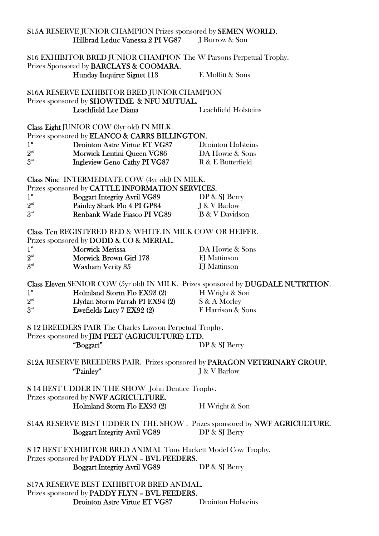|                 | <b>S15A RESERVE JUNIOR CHAMPION Prizes sponsored by SEMEN WORLD.</b>                                            |                                                                                   |
|-----------------|-----------------------------------------------------------------------------------------------------------------|-----------------------------------------------------------------------------------|
|                 | Hillbrad Leduc Vanessa 2 PI VG87                                                                                | J Burrow & Son                                                                    |
|                 | S16 EXHIBITOR BRED JUNIOR CHAMPION The W Parsons Perpetual Trophy.<br>Prizes Sponsored by BARCLAYS & COOMARA.   |                                                                                   |
|                 | Hunday Inquirer Signet 113                                                                                      | E Moffitt & Sons                                                                  |
|                 | <b>S16A RESERVE EXHIBITOR BRED JUNIOR CHAMPION</b><br>Prizes sponsored by SHOWTIME & NFU MUTUAL.                |                                                                                   |
|                 | Leachfield Lee Diana                                                                                            | <b>Leachfield Holsteins</b>                                                       |
|                 | Class Eight JUNIOR COW (3yr old) IN MILK.                                                                       |                                                                                   |
|                 | Prizes sponsored by <b>ELANCO &amp; CARRS BILLINGTON.</b>                                                       |                                                                                   |
| $1^*$           | Drointon Astre Virtue ET VG87                                                                                   | <b>Drointon Holsteins</b>                                                         |
| 2 <sup>nd</sup> | Morwick Lentini Queen VG86                                                                                      | DA Howie & Sons                                                                   |
| 3 <sup>rd</sup> | <b>Ingleview Geno Cathy PI VG87</b>                                                                             | R & E Butterfield                                                                 |
|                 | Class Nine INTERMEDIATE COW (4yr old) IN MILK.                                                                  |                                                                                   |
|                 | Prizes sponsored by CATTLE INFORMATION SERVICES.                                                                |                                                                                   |
| $1^*$           | <b>Boggart Integrity Avril VG89</b>                                                                             | DP & SJ Berry                                                                     |
| 2 <sup>nd</sup> | Painley Shark Flo 4 PI GP84                                                                                     | J & V Barlow                                                                      |
| 3 <sup>rd</sup> | Renbank Wade Fiasco PI VG89                                                                                     | <b>B</b> & V Davidson                                                             |
|                 | <b>Class Ten REGISTERED RED &amp; WHITE IN MILK COW OR HEIFER.</b><br>Prizes sponsored by DODD & CO & MERIAL.   |                                                                                   |
| $1^*$           | <b>Morwick Merissa</b>                                                                                          | DA Howie & Sons                                                                   |
| 2 <sup>nd</sup> | Morwick Brown Girl 178                                                                                          | <b>FJ</b> Mattinson                                                               |
| 3 <sup>rd</sup> | Waxham Verity 35                                                                                                | <b>FJ</b> Mattinson                                                               |
|                 |                                                                                                                 |                                                                                   |
|                 |                                                                                                                 | Class Eleven SENIOR COW (5yr old) IN MILK. Prizes sponsored by DUGDALE NUTRITION. |
| $1^*$           | Holmland Storm Flo EX93 (2)                                                                                     | H Wright & Son                                                                    |
| 2 <sup>nd</sup> | Llydan Storm Farrah PI EX94 (2)                                                                                 | S & A Morley                                                                      |
| 3 <sup>rd</sup> | Ewefields Lucy 7 EX92 (2)                                                                                       | F Harrison & Sons                                                                 |
|                 |                                                                                                                 |                                                                                   |
|                 | S 12 BREEDERS PAIR The Charles Lawson Perpetual Trophy.                                                         |                                                                                   |
|                 | Prizes sponsored by JIM PEET (AGRICULTURE) LTD.                                                                 |                                                                                   |
|                 | "Boggart"                                                                                                       | DP & SJ Berry                                                                     |
|                 |                                                                                                                 | S12A RESERVE BREEDERS PAIR. Prizes sponsored by PARAGON VETERINARY GROUP.         |
|                 | "Painley"                                                                                                       | J & V Barlow                                                                      |
|                 | <b>S 14 BEST UDDER IN THE SHOW John Dentice Trophy.</b><br>Prizes sponsored by NWF AGRICULTURE.                 |                                                                                   |
|                 | Holmland Storm Flo EX93 (2)                                                                                     | H Wright & Son                                                                    |
|                 |                                                                                                                 | <b>S14A RESERVE BEST UDDER IN THE SHOW. Prizes sponsored by NWF AGRICULTURE.</b>  |
|                 | <b>Boggart Integrity Avril VG89</b>                                                                             | DP & SJ Berry                                                                     |
|                 | S 17 BEST EXHIBITOR BRED ANIMAL Tony Hackett Model Cow Trophy.<br>Prizes sponsored by PADDY FLYN - BVL FEEDERS. |                                                                                   |
|                 | <b>Boggart Integrity Avril VG89</b>                                                                             | DP & SJ Berry                                                                     |
|                 | <b>S17A RESERVE BEST EXHIBITOR BRED ANIMAL.</b>                                                                 |                                                                                   |
|                 | Prizes sponsored by <b>PADDY FLYN - BVL FEEDERS.</b>                                                            |                                                                                   |
|                 | Drointon Astre Virtue ET VG87                                                                                   | <b>Drointon Holsteins</b>                                                         |